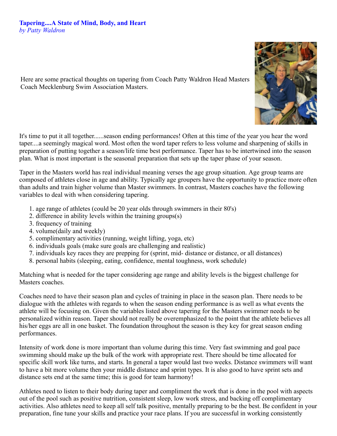## **Tapering....A State of Mind, Body, and Heart** *by Patty Waldron*



Here are some practical thoughts on tapering from Coach Patty Waldron Head Masters Coach Mecklenburg Swim Association Masters.

It's time to put it all together......season ending performances! Often at this time of the year you hear the word taper....a seemingly magical word. Most often the word taper refers to less volume and sharpening of skills in preparation of putting together a season/life time best performance. Taper has to be intertwined into the season plan. What is most important is the seasonal preparation that sets up the taper phase of your season.

Taper in the Masters world has real individual meaning verses the age group situation. Age group teams are composed of athletes close in age and ability. Typically age groupers have the opportunity to practice more often than adults and train higher volume than Master swimmers. In contrast, Masters coaches have the following variables to deal with when considering tapering.

- 1. age range of athletes (could be 20 year olds through swimmers in their 80's)
- 2. difference in ability levels within the training groups(s)
- 3. frequency of training
- 4. volume(daily and weekly)
- 5. complimentary activities (running, weight lifting, yoga, etc)
- 6. individuals goals (make sure goals are challenging and realistic)
- 7. individuals key races they are prepping for (sprint, mid- distance or distance, or all distances)
- 8. personal habits (sleeping, eating, confidence, mental toughness, work schedule)

Matching what is needed for the taper considering age range and ability levels is the biggest challenge for Masters coaches.

Coaches need to have their season plan and cycles of training in place in the season plan. There needs to be dialogue with the athletes with regards to when the season ending performance is as well as what events the athlete will be focusing on. Given the variables listed above tapering for the Masters swimmer needs to be personalized within reason. Taper should not really be overemphasized to the point that the athlete believes all his/her eggs are all in one basket. The foundation throughout the season is they key for great season ending performances.

Intensity of work done is more important than volume during this time. Very fast swimming and goal pace swimming should make up the bulk of the work with appropriate rest. There should be time allocated for specific skill work like turns, and starts. In general a taper would last two weeks. Distance swimmers will want to have a bit more volume then your middle distance and sprint types. It is also good to have sprint sets and distance sets end at the same time; this is good for team harmony!

Athletes need to listen to their body during taper and compliment the work that is done in the pool with aspects out of the pool such as positive nutrition, consistent sleep, low work stress, and backing off complimentary activities. Also athletes need to keep all self talk positive, mentally preparing to be the best. Be confident in your preparation, fine tune your skills and practice your race plans. If you are successful in working consistently